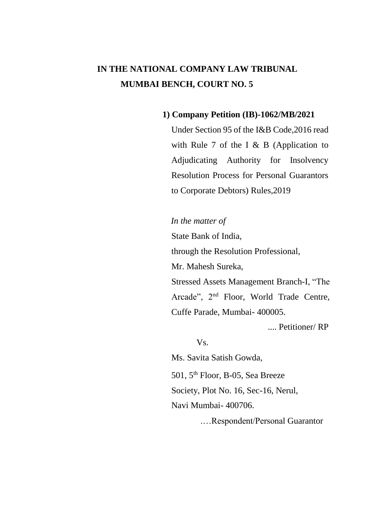# **IN THE NATIONAL COMPANY LAW TRIBUNAL MUMBAI BENCH, COURT NO. 5**

#### **1) Company Petition (IB)-1062/MB/2021**

Under Section 95 of the I&B Code,2016 read with Rule 7 of the I  $&$  B (Application to Adjudicating Authority for Insolvency Resolution Process for Personal Guarantors to Corporate Debtors) Rules,2019

#### *In the matter of*

State Bank of India, through the Resolution Professional, Mr. Mahesh Sureka,

Stressed Assets Management Branch-I, "The Arcade", 2nd Floor, World Trade Centre, Cuffe Parade, Mumbai- 400005.

.... Petitioner/ RP

Vs.

Ms. Savita Satish Gowda,

501, 5th Floor, B-05, Sea Breeze

Society, Plot No. 16, Sec-16, Nerul,

Navi Mumbai- 400706.

.…Respondent/Personal Guarantor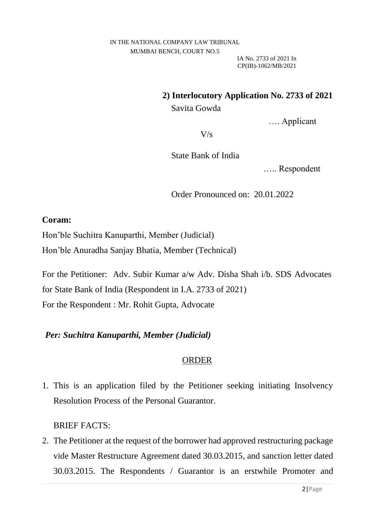### **2) Interlocutory Application No. 2733 of 2021**

Savita Gowda

…. Applicant

 $V/s$ 

State Bank of India

….. Respondent

Order Pronounced on: 20.01.2022

#### **Coram:**

Hon'ble Suchitra Kanuparthi, Member (Judicial)

Hon'ble Anuradha Sanjay Bhatia, Member (Technical)

For the Petitioner: Adv. Subir Kumar a/w Adv. Disha Shah i/b. SDS Advocates for State Bank of India (Respondent in I.A. 2733 of 2021) For the Respondent : Mr. Rohit Gupta, Advocate

## *Per: Suchitra Kanuparthi, Member (Judicial)*

### ORDER

1. This is an application filed by the Petitioner seeking initiating Insolvency Resolution Process of the Personal Guarantor.

## BRIEF FACTS:

2. The Petitioner at the request of the borrower had approved restructuring package vide Master Restructure Agreement dated 30.03.2015, and sanction letter dated 30.03.2015. The Respondents / Guarantor is an erstwhile Promoter and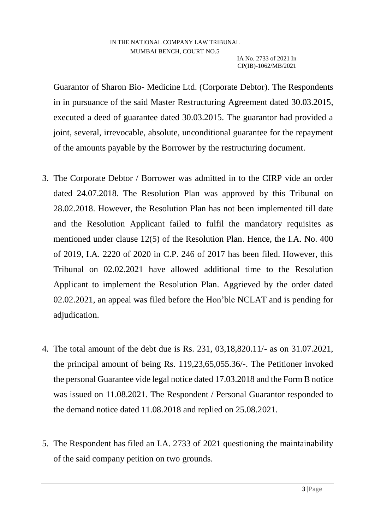Guarantor of Sharon Bio- Medicine Ltd. (Corporate Debtor). The Respondents in in pursuance of the said Master Restructuring Agreement dated 30.03.2015, executed a deed of guarantee dated 30.03.2015. The guarantor had provided a joint, several, irrevocable, absolute, unconditional guarantee for the repayment of the amounts payable by the Borrower by the restructuring document.

- 3. The Corporate Debtor / Borrower was admitted in to the CIRP vide an order dated 24.07.2018. The Resolution Plan was approved by this Tribunal on 28.02.2018. However, the Resolution Plan has not been implemented till date and the Resolution Applicant failed to fulfil the mandatory requisites as mentioned under clause 12(5) of the Resolution Plan. Hence, the I.A. No. 400 of 2019, I.A. 2220 of 2020 in C.P. 246 of 2017 has been filed. However, this Tribunal on 02.02.2021 have allowed additional time to the Resolution Applicant to implement the Resolution Plan. Aggrieved by the order dated 02.02.2021, an appeal was filed before the Hon'ble NCLAT and is pending for adjudication.
- 4. The total amount of the debt due is Rs. 231, 03,18,820.11/- as on 31.07.2021, the principal amount of being Rs. 119,23,65,055.36/-. The Petitioner invoked the personal Guarantee vide legal notice dated 17.03.2018 and the Form B notice was issued on 11.08.2021. The Respondent / Personal Guarantor responded to the demand notice dated 11.08.2018 and replied on 25.08.2021.
- 5. The Respondent has filed an I.A. 2733 of 2021 questioning the maintainability of the said company petition on two grounds.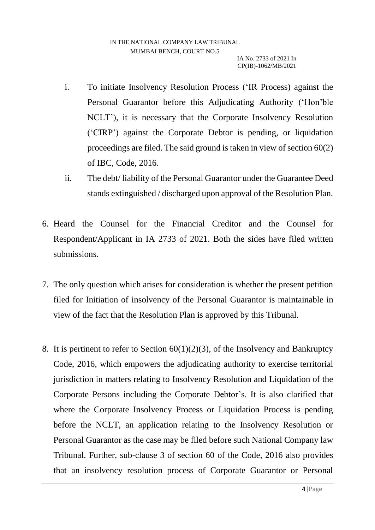- i. To initiate Insolvency Resolution Process ('IR Process) against the Personal Guarantor before this Adjudicating Authority ('Hon'ble NCLT'), it is necessary that the Corporate Insolvency Resolution ('CIRP') against the Corporate Debtor is pending, or liquidation proceedings are filed. The said ground is taken in view of section 60(2) of IBC, Code, 2016.
- ii. The debt/ liability of the Personal Guarantor under the Guarantee Deed stands extinguished / discharged upon approval of the Resolution Plan.
- 6. Heard the Counsel for the Financial Creditor and the Counsel for Respondent/Applicant in IA 2733 of 2021. Both the sides have filed written submissions.
- 7. The only question which arises for consideration is whether the present petition filed for Initiation of insolvency of the Personal Guarantor is maintainable in view of the fact that the Resolution Plan is approved by this Tribunal.
- 8. It is pertinent to refer to Section  $60(1)(2)(3)$ , of the Insolvency and Bankruptcy Code, 2016, which empowers the adjudicating authority to exercise territorial jurisdiction in matters relating to Insolvency Resolution and Liquidation of the Corporate Persons including the Corporate Debtor's. It is also clarified that where the Corporate Insolvency Process or Liquidation Process is pending before the NCLT, an application relating to the Insolvency Resolution or Personal Guarantor as the case may be filed before such National Company law Tribunal. Further, sub-clause 3 of section 60 of the Code, 2016 also provides that an insolvency resolution process of Corporate Guarantor or Personal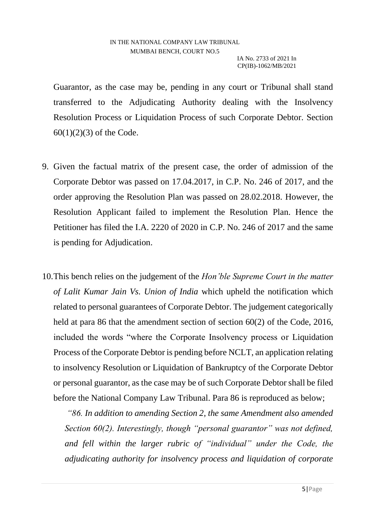Guarantor, as the case may be, pending in any court or Tribunal shall stand transferred to the Adjudicating Authority dealing with the Insolvency Resolution Process or Liquidation Process of such Corporate Debtor. Section  $60(1)(2)(3)$  of the Code.

- 9. Given the factual matrix of the present case, the order of admission of the Corporate Debtor was passed on 17.04.2017, in C.P. No. 246 of 2017, and the order approving the Resolution Plan was passed on 28.02.2018. However, the Resolution Applicant failed to implement the Resolution Plan. Hence the Petitioner has filed the I.A. 2220 of 2020 in C.P. No. 246 of 2017 and the same is pending for Adjudication.
- 10.This bench relies on the judgement of the *Hon'ble Supreme Court in the matter of Lalit Kumar Jain Vs. Union of India* which upheld the notification which related to personal guarantees of Corporate Debtor. The judgement categorically held at para 86 that the amendment section of section 60(2) of the Code, 2016, included the words "where the Corporate Insolvency process or Liquidation Process of the Corporate Debtor is pending before NCLT, an application relating to insolvency Resolution or Liquidation of Bankruptcy of the Corporate Debtor or personal guarantor, as the case may be of such Corporate Debtor shall be filed before the National Company Law Tribunal. Para 86 is reproduced as below;

*"86. In addition to amending Section 2, the same Amendment also amended Section 60(2). Interestingly, though "personal guarantor" was not defined, and fell within the larger rubric of "individual" under the Code, the adjudicating authority for insolvency process and liquidation of corporate*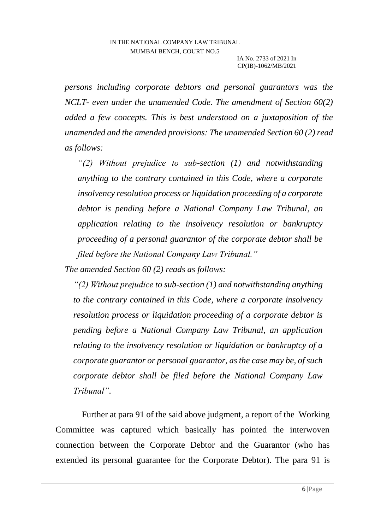*persons including corporate debtors and personal guarantors was the NCLT- even under the unamended Code. The amendment of Section 60(2) added a few concepts. This is best understood on a juxtaposition of the unamended and the amended provisions: The unamended Section 60 (2) read as follows:* 

*"(2) Without prejudice to sub-section (1) and notwithstanding anything to the contrary contained in this Code, where a corporate insolvency resolution process or liquidation proceeding of a corporate debtor is pending before a National Company Law Tribunal, an application relating to the insolvency resolution or bankruptcy proceeding of a personal guarantor of the corporate debtor shall be filed before the National Company Law Tribunal."* 

*The amended Section 60 (2) reads as follows:* 

*"(2) Without prejudice to sub-section (1) and notwithstanding anything to the contrary contained in this Code, where a corporate insolvency resolution process or liquidation proceeding of a corporate debtor is pending before a National Company Law Tribunal, an application relating to the insolvency resolution or liquidation or bankruptcy of a corporate guarantor or personal guarantor, as the case may be, of such corporate debtor shall be filed before the National Company Law Tribunal".* 

 Further at para 91 of the said above judgment, a report of the Working Committee was captured which basically has pointed the interwoven connection between the Corporate Debtor and the Guarantor (who has extended its personal guarantee for the Corporate Debtor). The para 91 is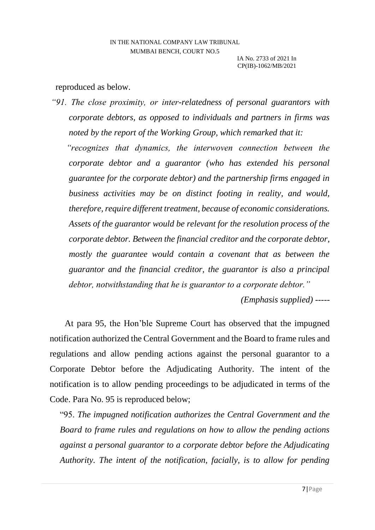#### reproduced as below.

*"91. The close proximity, or inter-relatedness of personal guarantors with corporate debtors, as opposed to individuals and partners in firms was noted by the report of the Working Group, which remarked that it: "recognizes that dynamics, the interwoven connection between the corporate debtor and a guarantor (who has extended his personal guarantee for the corporate debtor) and the partnership firms engaged in business activities may be on distinct footing in reality, and would, therefore, require different treatment, because of economic considerations. Assets of the guarantor would be relevant for the resolution process of the corporate debtor. Between the financial creditor and the corporate debtor,*  mostly the guarantee would contain a covenant that as between the *guarantor and the financial creditor, the guarantor is also a principal debtor, notwithstanding that he is guarantor to a corporate debtor."* 

*(Emphasis supplied) -----*

At para 95, the Hon'ble Supreme Court has observed that the impugned notification authorized the Central Government and the Board to frame rules and regulations and allow pending actions against the personal guarantor to a Corporate Debtor before the Adjudicating Authority. The intent of the notification is to allow pending proceedings to be adjudicated in terms of the Code. Para No. 95 is reproduced below;

"95. *The impugned notification authorizes the Central Government and the Board to frame rules and regulations on how to allow the pending actions against a personal guarantor to a corporate debtor before the Adjudicating Authority. The intent of the notification, facially, is to allow for pending*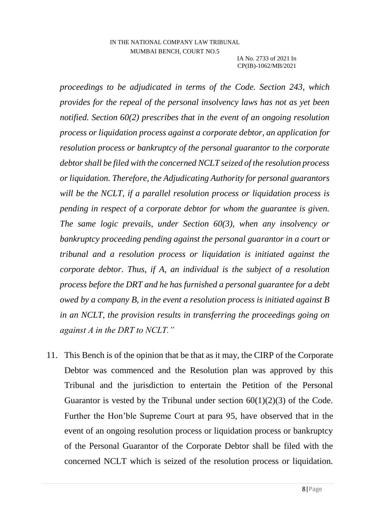*proceedings to be adjudicated in terms of the Code. Section 243, which provides for the repeal of the personal insolvency laws has not as yet been notified. Section 60(2) prescribes that in the event of an ongoing resolution process or liquidation process against a corporate debtor, an application for resolution process or bankruptcy of the personal guarantor to the corporate debtor shall be filed with the concerned NCLT seized of the resolution process or liquidation. Therefore, the Adjudicating Authority for personal guarantors will be the NCLT, if a parallel resolution process or liquidation process is pending in respect of a corporate debtor for whom the guarantee is given. The same logic prevails, under Section 60(3), when any insolvency or bankruptcy proceeding pending against the personal guarantor in a court or tribunal and a resolution process or liquidation is initiated against the corporate debtor. Thus, if A, an individual is the subject of a resolution process before the DRT and he has furnished a personal guarantee for a debt owed by a company B, in the event a resolution process is initiated against B in an NCLT, the provision results in transferring the proceedings going on against A in the DRT to NCLT."*

11. This Bench is of the opinion that be that as it may, the CIRP of the Corporate Debtor was commenced and the Resolution plan was approved by this Tribunal and the jurisdiction to entertain the Petition of the Personal Guarantor is vested by the Tribunal under section  $60(1)(2)(3)$  of the Code. Further the Hon'ble Supreme Court at para 95, have observed that in the event of an ongoing resolution process or liquidation process or bankruptcy of the Personal Guarantor of the Corporate Debtor shall be filed with the concerned NCLT which is seized of the resolution process or liquidation.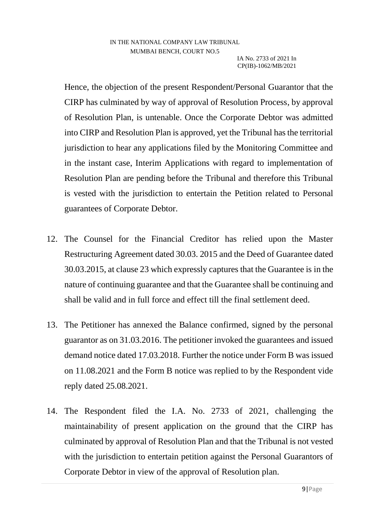Hence, the objection of the present Respondent/Personal Guarantor that the CIRP has culminated by way of approval of Resolution Process, by approval of Resolution Plan, is untenable. Once the Corporate Debtor was admitted into CIRP and Resolution Plan is approved, yet the Tribunal has the territorial jurisdiction to hear any applications filed by the Monitoring Committee and in the instant case, Interim Applications with regard to implementation of Resolution Plan are pending before the Tribunal and therefore this Tribunal is vested with the jurisdiction to entertain the Petition related to Personal guarantees of Corporate Debtor.

- 12. The Counsel for the Financial Creditor has relied upon the Master Restructuring Agreement dated 30.03. 2015 and the Deed of Guarantee dated 30.03.2015, at clause 23 which expressly captures that the Guarantee is in the nature of continuing guarantee and that the Guarantee shall be continuing and shall be valid and in full force and effect till the final settlement deed.
- 13. The Petitioner has annexed the Balance confirmed, signed by the personal guarantor as on 31.03.2016. The petitioner invoked the guarantees and issued demand notice dated 17.03.2018. Further the notice under Form B was issued on 11.08.2021 and the Form B notice was replied to by the Respondent vide reply dated 25.08.2021.
- 14. The Respondent filed the I.A. No. 2733 of 2021, challenging the maintainability of present application on the ground that the CIRP has culminated by approval of Resolution Plan and that the Tribunal is not vested with the jurisdiction to entertain petition against the Personal Guarantors of Corporate Debtor in view of the approval of Resolution plan.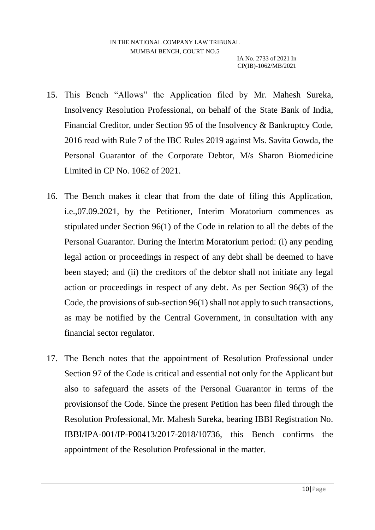- 15. This Bench "Allows" the Application filed by Mr. Mahesh Sureka, Insolvency Resolution Professional, on behalf of the State Bank of India, Financial Creditor, under Section 95 of the Insolvency & Bankruptcy Code, 2016 read with Rule 7 of the IBC Rules 2019 against Ms. Savita Gowda, the Personal Guarantor of the Corporate Debtor, M/s Sharon Biomedicine Limited in CP No. 1062 of 2021.
- 16. The Bench makes it clear that from the date of filing this Application, i.e.,07.09.2021, by the Petitioner, Interim Moratorium commences as stipulated under Section 96(1) of the Code in relation to all the debts of the Personal Guarantor. During the Interim Moratorium period: (i) any pending legal action or proceedings in respect of any debt shall be deemed to have been stayed; and (ii) the creditors of the debtor shall not initiate any legal action or proceedings in respect of any debt. As per Section 96(3) of the Code, the provisions of sub-section 96(1) shall not apply to such transactions, as may be notified by the Central Government, in consultation with any financial sector regulator.
- 17. The Bench notes that the appointment of Resolution Professional under Section 97 of the Code is critical and essential not only for the Applicant but also to safeguard the assets of the Personal Guarantor in terms of the provisionsof the Code. Since the present Petition has been filed through the Resolution Professional, Mr. Mahesh Sureka, bearing IBBI Registration No. IBBI/IPA-001/IP-P00413/2017-2018/10736, this Bench confirms the appointment of the Resolution Professional in the matter.